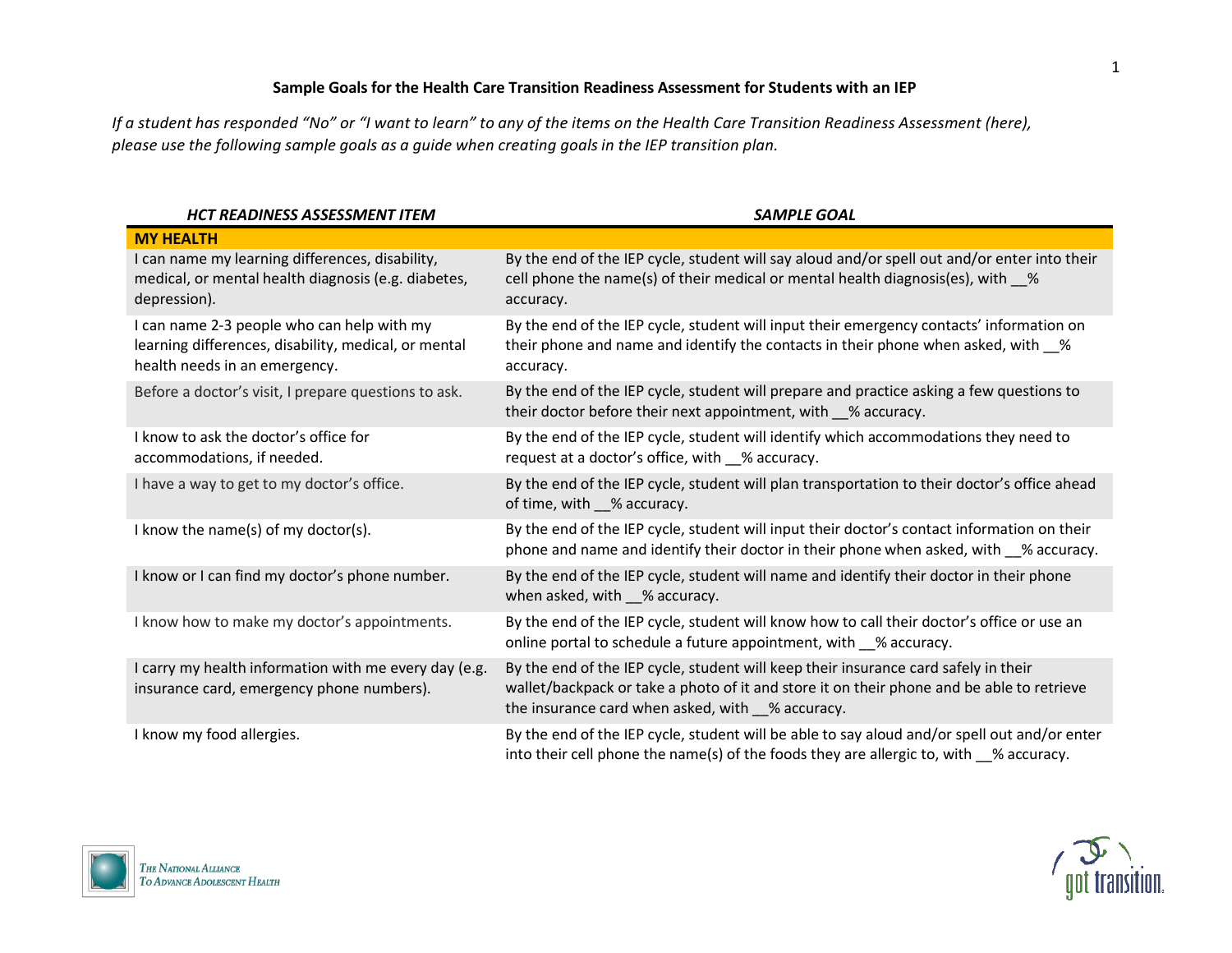## **Sample Goals for the Health Care Transition Readiness Assessment for Students with an IEP**

*If a student has responded "No" or "I want to learn" to any of the items on th[e Health Care Transition Readiness Assessment](https://gottransition.org/resource/?tra-iep-english) (here), please use the following sample goals as a guide when creating goals in the IEP transition plan.* 

| <b>HCT READINESS ASSESSMENT ITEM</b>                                                                                                | <b>SAMPLE GOAL</b>                                                                                                                                                                                                                   |
|-------------------------------------------------------------------------------------------------------------------------------------|--------------------------------------------------------------------------------------------------------------------------------------------------------------------------------------------------------------------------------------|
| <b>MY HEALTH</b>                                                                                                                    |                                                                                                                                                                                                                                      |
| I can name my learning differences, disability,<br>medical, or mental health diagnosis (e.g. diabetes,<br>depression).              | By the end of the IEP cycle, student will say aloud and/or spell out and/or enter into their<br>cell phone the name(s) of their medical or mental health diagnosis(es), with \sum<br>accuracy.                                       |
| I can name 2-3 people who can help with my<br>learning differences, disability, medical, or mental<br>health needs in an emergency. | By the end of the IEP cycle, student will input their emergency contacts' information on<br>their phone and name and identify the contacts in their phone when asked, with _%<br>accuracy.                                           |
| Before a doctor's visit, I prepare questions to ask.                                                                                | By the end of the IEP cycle, student will prepare and practice asking a few questions to<br>their doctor before their next appointment, with __% accuracy.                                                                           |
| I know to ask the doctor's office for<br>accommodations, if needed.                                                                 | By the end of the IEP cycle, student will identify which accommodations they need to<br>request at a doctor's office, with _% accuracy.                                                                                              |
| I have a way to get to my doctor's office.                                                                                          | By the end of the IEP cycle, student will plan transportation to their doctor's office ahead<br>of time, with % accuracy.                                                                                                            |
| I know the name(s) of my doctor(s).                                                                                                 | By the end of the IEP cycle, student will input their doctor's contact information on their<br>phone and name and identify their doctor in their phone when asked, with % accuracy.                                                  |
| I know or I can find my doctor's phone number.                                                                                      | By the end of the IEP cycle, student will name and identify their doctor in their phone<br>when asked, with __% accuracy.                                                                                                            |
| I know how to make my doctor's appointments.                                                                                        | By the end of the IEP cycle, student will know how to call their doctor's office or use an<br>online portal to schedule a future appointment, with 6 % accuracy.                                                                     |
| I carry my health information with me every day (e.g.<br>insurance card, emergency phone numbers).                                  | By the end of the IEP cycle, student will keep their insurance card safely in their<br>wallet/backpack or take a photo of it and store it on their phone and be able to retrieve<br>the insurance card when asked, with _% accuracy. |
| I know my food allergies.                                                                                                           | By the end of the IEP cycle, student will be able to say aloud and/or spell out and/or enter<br>into their cell phone the name(s) of the foods they are allergic to, with $\%$ accuracy.                                             |